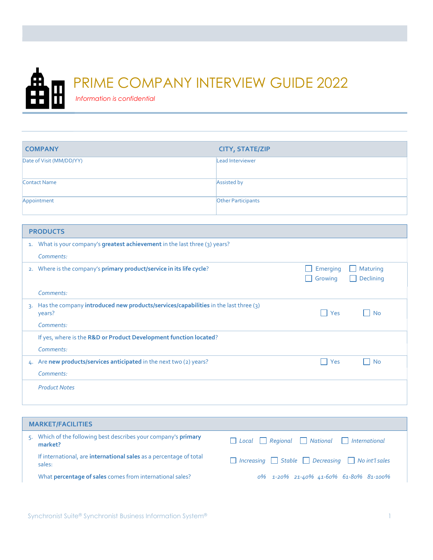

## PRIME COMPANY INTERVIEW GUIDE 2022

Information is confidential

| <b>COMPANY</b>           | <b>CITY, STATE/ZIP</b>    |
|--------------------------|---------------------------|
| Date of Visit (MM/DD/YY) | Lead Interviewer          |
| Contact Name             | Assisted by               |
| Appointment              | <b>Other Participants</b> |

|                | <b>PRODUCTS</b>                                                                               |                     |                       |
|----------------|-----------------------------------------------------------------------------------------------|---------------------|-----------------------|
| 1.             | What is your company's greatest achievement in the last three (3) years?                      |                     |                       |
|                | Comments:                                                                                     |                     |                       |
|                | 2. Where is the company's primary product/service in its life cycle?                          | Emerging<br>Growing | Maturing<br>Declining |
|                | Comments:                                                                                     |                     |                       |
| $\overline{3}$ | Has the company introduced new products/services/capabilities in the last three (3)<br>years? | Yes<br>n l          | No                    |
|                | Comments:                                                                                     |                     |                       |
|                | If yes, where is the R&D or Product Development function located?                             |                     |                       |
|                | Comments:                                                                                     |                     |                       |
|                | 4. Are new products/services anticipated in the next two (2) years?                           | Yes<br>$\mathbf{I}$ | <b>No</b>             |
|                | Comments:                                                                                     |                     |                       |
|                | <b>Product Notes</b>                                                                          |                     |                       |

| <b>MARKET/FACILITIES</b>                                                       |                                                                         |  |  |  |  |  |  |
|--------------------------------------------------------------------------------|-------------------------------------------------------------------------|--|--|--|--|--|--|
| Which of the following best describes your company's <b>primary</b><br>market? | □ Local ■ Regional ■ National ■ International                           |  |  |  |  |  |  |
| If international, are international sales as a percentage of total<br>sales:   | $\Box$ Increasing $\Box$ Stable $\Box$ Decreasing $\Box$ No int'l sales |  |  |  |  |  |  |
| What percentage of sales comes from international sales?                       | 0% 1-20% 21-40% 41-60% 61-80% 81-100%                                   |  |  |  |  |  |  |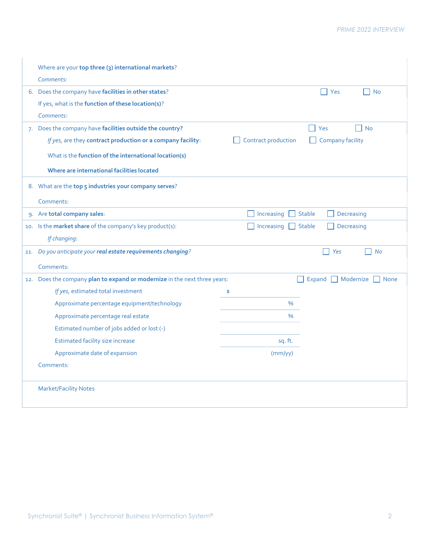| Where are your top three (3) international markets?<br>Comments:                                                                                                                                                               |                     |                                             |
|--------------------------------------------------------------------------------------------------------------------------------------------------------------------------------------------------------------------------------|---------------------|---------------------------------------------|
| 6. Does the company have facilities in other states?<br>If yes, what is the function of these location(s)?<br>Comments:                                                                                                        |                     | Yes<br>$\mathsf{L}$<br><b>No</b>            |
| 7. Does the company have facilities outside the country?<br>If yes, are they contract production or a company facility:<br>What is the function of the international location(s)<br>Where are international facilities located | Contract production | Yes<br><b>No</b><br><b>Company facility</b> |
| 8. What are the top 5 industries your company serves?<br>Comments:                                                                                                                                                             |                     |                                             |
| 9. Are total company sales:                                                                                                                                                                                                    | Increasing          | <b>Stable</b><br>Decreasing                 |
| 10. Is the market share of the company's key product(s):<br>If changing:                                                                                                                                                       | Increasing          | Decreasing<br><b>Stable</b>                 |
| 11. Do you anticipate your real estate requirements changing?<br>Comments:                                                                                                                                                     |                     | Yes<br><b>No</b>                            |
| 12. Does the company plan to expand or modernize in the next three years:                                                                                                                                                      |                     | Modernize $\Box$<br>Expand<br><b>None</b>   |
| If yes, estimated total investment                                                                                                                                                                                             | \$                  |                                             |
| Approximate percentage equipment/technology                                                                                                                                                                                    | $\%$                |                                             |
| Approximate percentage real estate                                                                                                                                                                                             | $\%$                |                                             |
| Estimated number of jobs added or lost (-)                                                                                                                                                                                     |                     |                                             |
| Estimated facility size increase                                                                                                                                                                                               | sq. ft.             |                                             |
| Approximate date of expansion                                                                                                                                                                                                  | (mm/yy)             |                                             |
| Comments:                                                                                                                                                                                                                      |                     |                                             |
| <b>Market/Facility Notes</b>                                                                                                                                                                                                   |                     |                                             |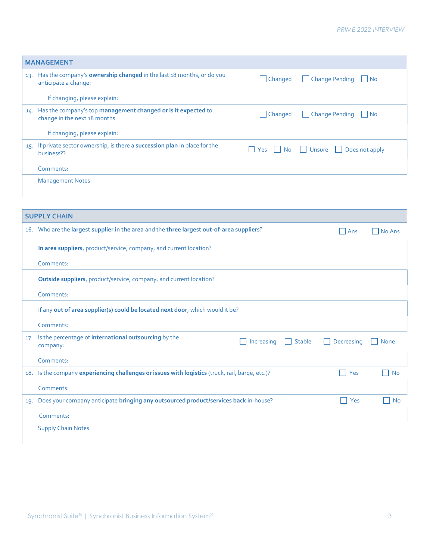|     | <b>MANAGEMENT</b>                                                                                                                                                                  |
|-----|------------------------------------------------------------------------------------------------------------------------------------------------------------------------------------|
| 13. | Has the company's ownership changed in the last 18 months, or do you<br>Change Pending<br>$\Box$ Changed<br>$\blacksquare$ No<br>anticipate a change:                              |
|     | If changing, please explain:                                                                                                                                                       |
|     | 14. Has the company's top management changed or is it expected to<br>Change Pending<br>$\Box$ Changed<br>$\vert$ $\vert$ No<br>change in the next 18 months:                       |
|     | If changing, please explain:                                                                                                                                                       |
|     | 15. If private sector ownership, is there a succession plan in place for the<br>$\Box$ Unsure<br>Does not apply<br>$\blacksquare$ No<br>$\blacksquare$ Yes<br>$\sim$<br>business?? |
|     | Comments:                                                                                                                                                                          |
|     | <b>Management Notes</b>                                                                                                                                                            |
|     |                                                                                                                                                                                    |
|     |                                                                                                                                                                                    |
|     | <b>SUPPLY CHAIN</b>                                                                                                                                                                |
|     | 16. Who are the largest supplier in the area and the three largest out-of-area suppliers?<br>No Ans<br>  Ans                                                                       |
|     | In area suppliers, product/service, company, and current location?                                                                                                                 |
|     | Comments:                                                                                                                                                                          |
|     | Outside suppliers, product/service, company, and current location?                                                                                                                 |
|     | Comments:                                                                                                                                                                          |
|     | If any out of area supplier(s) could be located next door, which would it be?                                                                                                      |
|     | Comments:                                                                                                                                                                          |
| 17. | Is the percentage of international outsourcing by the<br>Increasing<br>$\Box$ Stable<br>Decreasing<br>None<br>- 1<br>company:                                                      |
|     | Comments:                                                                                                                                                                          |
|     | 18. Is the company experiencing challenges or issues with logistics (truck, rail, barge, etc.)?<br>$\Box$ Yes<br>$\Box$ No                                                         |
|     | Comments:                                                                                                                                                                          |
|     | 19. Does your company anticipate bringing any outsourced product/services back in-house?<br>$\Box$ Yes<br><b>No</b>                                                                |
|     | Comments:                                                                                                                                                                          |
|     | <b>Supply Chain Notes</b>                                                                                                                                                          |
|     |                                                                                                                                                                                    |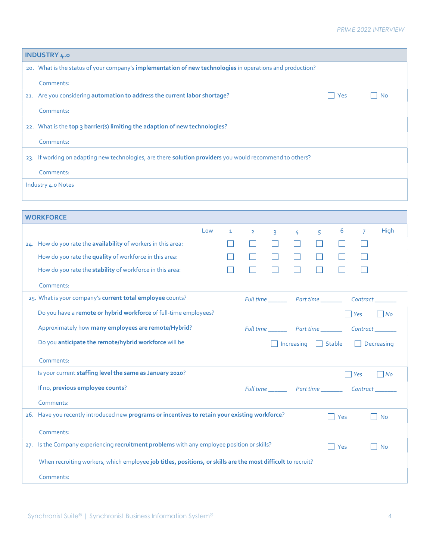## PRIME 2022 INTERVIEW

| <b>INDUSTRY 4.0</b>                                                                                         |                                                              |  |  |  |  |  |  |  |
|-------------------------------------------------------------------------------------------------------------|--------------------------------------------------------------|--|--|--|--|--|--|--|
| 20. What is the status of your company's implementation of new technologies in operations and production?   |                                                              |  |  |  |  |  |  |  |
| Comments:                                                                                                   |                                                              |  |  |  |  |  |  |  |
| 21. Are you considering automation to address the current labor shortage?<br>Yes<br><b>No</b>               |                                                              |  |  |  |  |  |  |  |
| Comments:                                                                                                   |                                                              |  |  |  |  |  |  |  |
| 22. What is the top 3 barrier(s) limiting the adaption of new technologies?                                 |                                                              |  |  |  |  |  |  |  |
| Comments:                                                                                                   |                                                              |  |  |  |  |  |  |  |
| 23. If working on adapting new technologies, are there solution providers you would recommend to others?    |                                                              |  |  |  |  |  |  |  |
| Comments:                                                                                                   |                                                              |  |  |  |  |  |  |  |
| Industry 4.0 Notes                                                                                          |                                                              |  |  |  |  |  |  |  |
|                                                                                                             |                                                              |  |  |  |  |  |  |  |
|                                                                                                             |                                                              |  |  |  |  |  |  |  |
| <b>WORKFORCE</b>                                                                                            |                                                              |  |  |  |  |  |  |  |
| Low<br>1                                                                                                    | High<br>6<br>$\overline{7}$<br>$\overline{2}$<br>5<br>3<br>4 |  |  |  |  |  |  |  |
| 24. How do you rate the availability of workers in this area:                                               | H<br>H<br>$\mathcal{L}$                                      |  |  |  |  |  |  |  |
| How do you rate the quality of workforce in this area:                                                      |                                                              |  |  |  |  |  |  |  |
| How do you rate the stability of workforce in this area:                                                    | L                                                            |  |  |  |  |  |  |  |
| Comments:                                                                                                   |                                                              |  |  |  |  |  |  |  |
| 25. What is your company's current total employee counts?                                                   | Full time ____________ Part time _________<br>Contract_      |  |  |  |  |  |  |  |
| Do you have a remote or hybrid workforce of full-time employees?                                            | Yes<br><b>No</b>                                             |  |  |  |  |  |  |  |
| Approximately how many employees are remote/Hybrid?                                                         | Full time __________ Part time _____________ Contract ___    |  |  |  |  |  |  |  |
| Do you anticipate the remote/hybrid workforce will be                                                       | $\Box$ Stable<br>Increasing<br>Decreasing                    |  |  |  |  |  |  |  |
| Comments:                                                                                                   |                                                              |  |  |  |  |  |  |  |
| Is your current staffing level the same as January 2020?                                                    | No<br>Yes                                                    |  |  |  |  |  |  |  |
| If no, previous employee counts?                                                                            |                                                              |  |  |  |  |  |  |  |
| Comments:                                                                                                   |                                                              |  |  |  |  |  |  |  |
| 26. Have you recently introduced new programs or incentives to retain your existing workforce?              | Yes<br><b>No</b>                                             |  |  |  |  |  |  |  |
|                                                                                                             |                                                              |  |  |  |  |  |  |  |
| Comments:<br>27. Is the Company experiencing recruitment problems with any employee position or skills?     |                                                              |  |  |  |  |  |  |  |
|                                                                                                             | Yes<br><b>No</b>                                             |  |  |  |  |  |  |  |
| When recruiting workers, which employee job titles, positions, or skills are the most difficult to recruit? |                                                              |  |  |  |  |  |  |  |
| Comments:                                                                                                   |                                                              |  |  |  |  |  |  |  |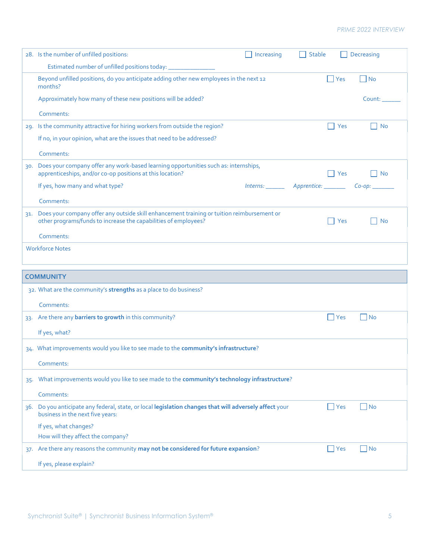## PRIME 2022 INTERVIEW

|        | 28. Is the number of unfilled positions:                                                                                                                          | Increasing | <b>Stable</b> | Decreasing                  |
|--------|-------------------------------------------------------------------------------------------------------------------------------------------------------------------|------------|---------------|-----------------------------|
|        | Estimated number of unfilled positions today:                                                                                                                     |            |               |                             |
|        | Beyond unfilled positions, do you anticipate adding other new employees in the next 12<br>months?                                                                 |            | Yes           | No                          |
|        | Approximately how many of these new positions will be added?                                                                                                      |            |               | Count:                      |
|        | Comments:                                                                                                                                                         |            |               |                             |
|        | 29. Is the community attractive for hiring workers from outside the region?                                                                                       |            | Yes           | <b>No</b>                   |
|        | If no, in your opinion, what are the issues that need to be addressed?                                                                                            |            |               |                             |
|        | Comments:                                                                                                                                                         |            |               |                             |
| 30.    | Does your company offer any work-based learning opportunities such as: internships,<br>apprenticeships, and/or co-op positions at this location?                  |            | Yes           | l No                        |
|        | If yes, how many and what type?                                                                                                                                   |            |               |                             |
|        | Comments:                                                                                                                                                         |            |               |                             |
|        | 31. Does your company offer any outside skill enhancement training or tuition reimbursement or<br>other programs/funds to increase the capabilities of employees? |            | Yes           | No                          |
|        | Comments:                                                                                                                                                         |            |               |                             |
|        | <b>Workforce Notes</b>                                                                                                                                            |            |               |                             |
|        |                                                                                                                                                                   |            |               |                             |
|        | <b>COMMUNITY</b>                                                                                                                                                  |            |               |                             |
|        | 32. What are the community's strengths as a place to do business?                                                                                                 |            |               |                             |
|        | Comments:                                                                                                                                                         |            |               |                             |
|        | 33. Are there any barriers to growth in this community?                                                                                                           |            | $\Box$ Yes    | $\Box$ No                   |
|        | If yes, what?                                                                                                                                                     |            |               |                             |
|        | 34. What improvements would you like to see made to the community's infrastructure?                                                                               |            |               |                             |
|        | Comments:                                                                                                                                                         |            |               |                             |
| $35 -$ | What improvements would you like to see made to the community's technology infrastructure?                                                                        |            |               |                             |
|        | Comments:                                                                                                                                                         |            |               |                             |
| 36.    | Do you anticipate any federal, state, or local legislation changes that will adversely affect your<br>business in the next five years:                            |            | $\Box$ Yes    | $\overline{\phantom{a}}$ No |
|        | If yes, what changes?                                                                                                                                             |            |               |                             |
|        | How will they affect the company?                                                                                                                                 |            |               |                             |
|        | 37. Are there any reasons the community may not be considered for future expansion?                                                                               |            | $\Box$ Yes    | $\Box$ No                   |
|        | If yes, please explain?                                                                                                                                           |            |               |                             |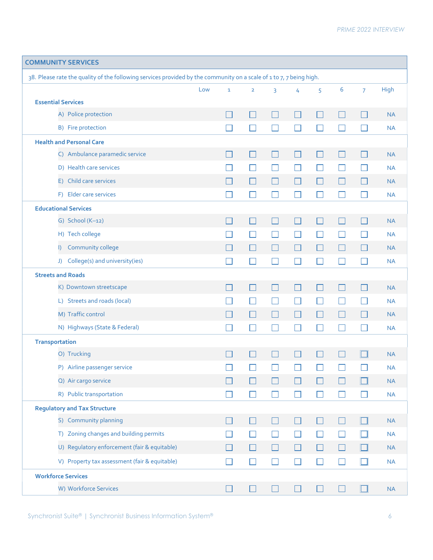| <b>COMMUNITY SERVICES</b>                                                                                           |     |                |                          |                |                |              |                             |                |             |
|---------------------------------------------------------------------------------------------------------------------|-----|----------------|--------------------------|----------------|----------------|--------------|-----------------------------|----------------|-------------|
| 38. Please rate the quality of the following services provided by the community on a scale of 1 to 7, 7 being high. |     |                |                          |                |                |              |                             |                |             |
|                                                                                                                     | Low | $\mathbf{1}$   | $\overline{2}$           | 3              | 4              | 5            | 6                           | $\overline{7}$ | <b>High</b> |
| <b>Essential Services</b>                                                                                           |     |                |                          |                |                |              |                             |                |             |
| A) Police protection                                                                                                |     |                | $\overline{\phantom{a}}$ | $\mathsf{L}$   | <b>Fill</b>    | $\Box$       | L                           |                | <b>NA</b>   |
| B) Fire protection                                                                                                  |     |                |                          |                |                |              |                             |                | <b>NA</b>   |
| <b>Health and Personal Care</b>                                                                                     |     |                |                          |                |                |              |                             |                |             |
| C) Ambulance paramedic service                                                                                      |     |                | $\Box$                   | $\mathsf{L}$   | $\mathbb{R}^n$ | $\Box$       | $\mathcal{L}_{\mathcal{A}}$ |                | <b>NA</b>   |
| D) Health care services                                                                                             |     |                | n l                      | $\blacksquare$ | $\mathbf{L}$   | $\mathsf{L}$ |                             | H              | <b>NA</b>   |
| E) Child care services                                                                                              |     |                |                          |                | П              |              | L                           |                | <b>NA</b>   |
| F) Elder care services                                                                                              |     | - 1            | $\Box$                   | $\mathsf{L}$   | $\Box$         | $\Box$       | $\mathcal{L}_{\mathcal{A}}$ | H              | <b>NA</b>   |
| <b>Educational Services</b>                                                                                         |     |                |                          |                |                |              |                             |                |             |
| G) School $(K-12)$                                                                                                  |     |                | $\vert \ \ \vert$        | $\mathsf{L}$   | $\Box$         | $\Box$       | <b>I</b>                    | H              | <b>NA</b>   |
| H) Tech college                                                                                                     |     |                |                          |                | $\Box$         | $\Box$       |                             |                | <b>NA</b>   |
| Community college<br>$\vert$                                                                                        |     |                | H                        | $\Box$         | H              | $\mathsf{L}$ | L                           |                | <b>NA</b>   |
| J) College(s) and university(ies)                                                                                   |     | $\blacksquare$ | ×.                       |                |                | H            |                             |                | <b>NA</b>   |
| <b>Streets and Roads</b>                                                                                            |     |                |                          |                |                |              |                             |                |             |
| K) Downtown streetscape                                                                                             |     | - 1            | П                        | $\Box$         | $\Box$         | $\Box$       | $\Box$                      | П              | <b>NA</b>   |
| L) Streets and roads (local)                                                                                        |     |                | Н                        | $\mathsf{L}$   | $\Box$         | $\Box$       | L                           |                | <b>NA</b>   |
| M) Traffic control                                                                                                  |     |                | П                        | П              | Г              | $\Box$       | $\Box$                      |                | <b>NA</b>   |
| N) Highways (State & Federal)                                                                                       |     |                |                          |                |                |              |                             |                | <b>NA</b>   |
| <b>Transportation</b>                                                                                               |     |                |                          |                |                |              |                             |                |             |
| O) Trucking                                                                                                         |     |                | H                        | $\mathsf{L}$   | $\Box$         | $\Box$       | $\mathbf{L}$                |                | <b>NA</b>   |
| P) Airline passenger service                                                                                        |     |                |                          |                |                |              |                             |                | <b>NA</b>   |
| Q) Air cargo service                                                                                                |     |                |                          |                |                |              |                             |                | <b>NA</b>   |
| R) Public transportation                                                                                            |     |                | П                        | H              | $\Box$         | $\Box$       | $\Box$                      |                | <b>NA</b>   |
| <b>Regulatory and Tax Structure</b>                                                                                 |     |                |                          |                |                |              |                             |                |             |
| S) Community planning                                                                                               |     |                | $\Box$                   |                | $\Box$         | $\Box$       | $\Box$                      |                | NA          |
| T) Zoning changes and building permits                                                                              |     |                | П                        | $\mathsf{L}$   | $\Box$         | $\Box$       | $\Box$                      |                | <b>NA</b>   |
| U) Regulatory enforcement (fair & equitable)                                                                        |     |                | $\mathbb{R}^n$           | $\mathbb{R}^n$ | $\Box$         | $\Box$       | $\Box$                      |                | <b>NA</b>   |
| V) Property tax assessment (fair & equitable)                                                                       |     | - 1            | П                        | П              | $\Box$         | $\Box$       |                             | $\mathsf{L}$   | NA          |
| <b>Workforce Services</b>                                                                                           |     |                |                          |                |                |              |                             |                |             |
| W) Workforce Services                                                                                               |     |                |                          |                |                |              |                             |                | NA          |
|                                                                                                                     |     |                |                          |                |                |              |                             |                |             |